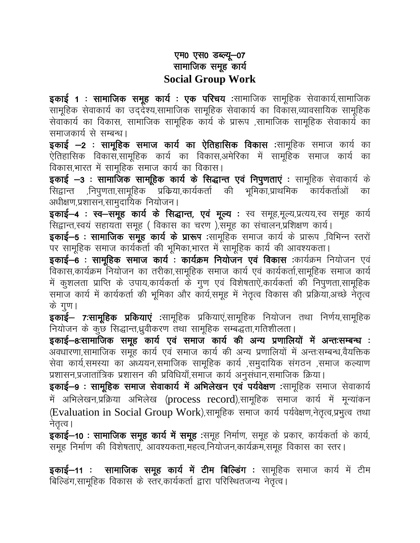## एम0 एस0 डब्ल्यू-07 सामाजिक समूह कार्य **Social Group Work**

**इकाई 1 : सामाजिक समूह कार्य : एक परिचय** :सामाजिक सामूहिक सेवाकार्य,सामाजिक सामूहिक सेवाकार्य का उद्देश्य,सामाजिक सामूहिक सेवाकार्य का विकास,व्यावसायिक सामूहिक सेवाकार्य का विकास, सामाजिक सामुहिक कार्य के प्रारूप ,सामाजिक सामुहिक सेवाकार्य का समाजकार्य से सम्बन्ध।

इकाई -2: सामूहिक समाज कार्य का ऐतिहासिक विकास :सामूहिक समाज कार्य का ऐतिहासिक विकास,सामूहिक कार्य का विकास,अमेरिका में सामूहिक समाज कार्य का विकास,भारत में सामूहिक समाज कार्य का विकास।

इकाई -3: सामाजिक सामूहिक कार्य के सिद्धान्त एवं निपुणताएं : सामूहिक सेवाकार्य के सिद्वान्त ,निपुणता,सामूहिक प्रक्रिया,कार्यकर्ता की भूमिका,प्राथमिक कार्यकर्त्ताओं का अधीक्षण,प्रशासन,सामुदायिक नियोजन।

इकाई-4: स्व-समूह कार्य के सिद्धान्त, एवं मूल्य: स्व समूह,मूल्य,प्रत्यय,स्व समूह कार्य सिद्वान्त,स्वयं सहायता समूह (विकास का चरण),समूह का संचालन,प्रशिक्षण कार्य।

इकाई—5: सामाजिक समूह कार्य के प्रारूप :सामूहिक समाज कार्य के प्रारूप ,विभिन्न स्तरों पर सामूहिक समाज कार्यकर्ता की भूमिका,भारत में सामूहिक कार्य की आवश्यकता।

इकाई-6: सामुहिक समाज कार्य: कार्यक्रम नियोजन एवं विकास :कार्यक्रम नियोजन एवं विकास,कार्यक्रम नियोजन का तरीका,सामूहिक समाज कार्य एवं कार्यकर्ता,सामूहिक समाज कार्य में कुशलता प्राप्ति के उपाय,कार्यकर्ता के गुण एवं विशेषताऐं,कार्यकर्ता की निपुणता,सामूहिक समाज कार्य में कार्यकर्ता की भूमिका और कार्य,समुह में नेतृत्व विकास की प्रक्रिया,अच्छे नेतृत्व के गुण।

**इकाई– 7:सामूहिक प्रकियाएं** :सामूहिक प्रकियाएं,सामूहिक नियोजन तथा निर्णय,सामूहिक नियोजन के कुछ सिद्धान्त,ध्रुवीकरण तथा सामूहिक सम्बद्धता,गतिशीलता।

इकाई–8:सामाजिक समूह कार्य एवं समाज कार्य की अन्य प्रणालियों में अन्तःसम्बन्ध : अवधारणा,सामाजिक समूह कार्य एवं समाज कार्य की अन्य प्रणालियों में अन्तःसम्बन्ध,वैयक्तिक सेवा कार्य,समस्या का अध्ययन,समाजिक सामूहिक कार्य ,समुदायिक संगठन ,समाज कल्याण प्रशासन,प्रजातांत्रिक प्रशासन की प्रविधियाँ,समाज कार्य अनुसंधान,समाजिक क्रिया।

इकाई-9: सामूहिक समाज सेवाकार्य में अभिलेखन एवं पर्यवेक्षण :सामूहिक समाज सेवाकार्य में अभिलेखन,प्रक्रिया अभिलेख (process record),सामूहिक समाज कार्य में मून्यांकन (Evaluation in Social Group Work),सामूहिक समाज कार्य पर्यवेक्षण,नेतृत्व,प्रभुत्व तथा नेतृत्व ।

इकाई-10: सामाजिक समूह कार्य में समूह :समूह निर्माण, समूह के प्रकार, कार्यकर्ता के कार्य, समूह निर्माण की विशेषताएं, आवश्यकता,मंहत्व,नियोजन,कार्यक्रम,समूह विकास का स्तर।

इकाई-11: सामाजिक समूह कार्य में टीम बिल्डिंग: सामूहिक समाज कार्य में टीम बिल्डिंग,सामूहिक विकास के स्तर,कार्यकर्ता द्वारा परिस्थितजन्य नेतृत्व।